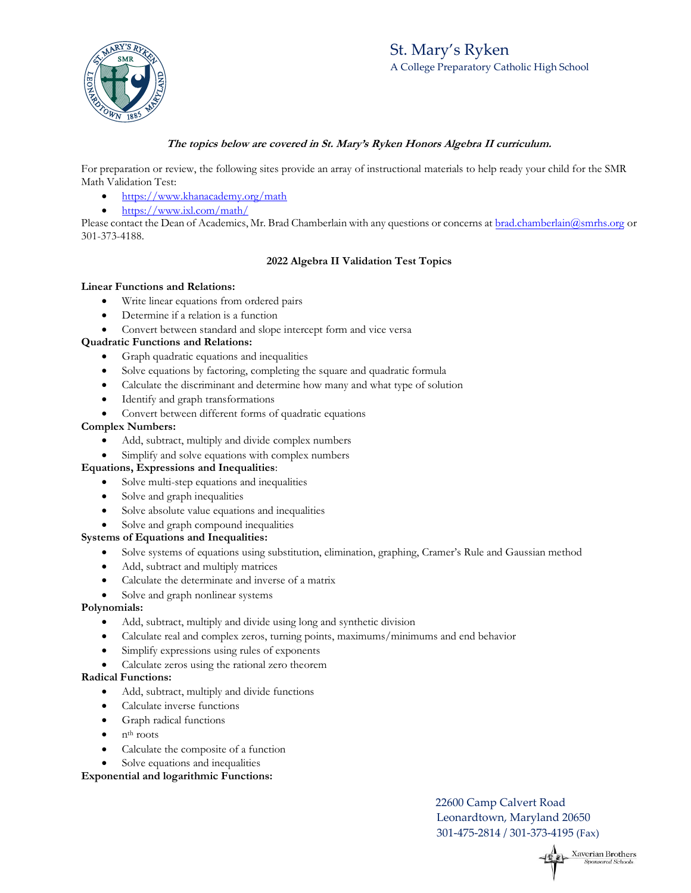# St. Mary's Ryken A College Preparatory Catholic High School



# **The topics below are covered in St. Mary's Ryken Honors Algebra II curriculum.**

For preparation or review, the following sites provide an array of instructional materials to help ready your child for the SMR Math Validation Test:

- https://www.khanacademy.org/math
- https://www.ixl.com/math/

Please contact the Dean of Academics, Mr. Brad Chamberlain with any questions or concerns at brad.chamberlain@smrhs.org or 301-373-4188.

# **2022 Algebra II Validation Test Topics**

#### **Linear Functions and Relations:**

- Write linear equations from ordered pairs
- Determine if a relation is a function
- Convert between standard and slope intercept form and vice versa

#### **Quadratic Functions and Relations:**

- Graph quadratic equations and inequalities
- Solve equations by factoring, completing the square and quadratic formula
- Calculate the discriminant and determine how many and what type of solution
- Identify and graph transformations
- Convert between different forms of quadratic equations

#### **Complex Numbers:**

- Add, subtract, multiply and divide complex numbers
- Simplify and solve equations with complex numbers

#### **Equations, Expressions and Inequalities**:

- Solve multi-step equations and inequalities
- Solve and graph inequalities
- Solve absolute value equations and inequalities
- Solve and graph compound inequalities

#### **Systems of Equations and Inequalities:**

- Solve systems of equations using substitution, elimination, graphing, Cramer's Rule and Gaussian method
- Add, subtract and multiply matrices
- Calculate the determinate and inverse of a matrix
- Solve and graph nonlinear systems

#### **Polynomials:**

- Add, subtract, multiply and divide using long and synthetic division
- Calculate real and complex zeros, turning points, maximums/minimums and end behavior
- Simplify expressions using rules of exponents
- Calculate zeros using the rational zero theorem

#### **Radical Functions:**

- Add, subtract, multiply and divide functions
- Calculate inverse functions
- Graph radical functions
- nth roots
- Calculate the composite of a function
- Solve equations and inequalities

#### **Exponential and logarithmic Functions:**

22600 Camp Calvert Road Leonardtown, Maryland 20650 301-475-2814 / 301-373-4195 (Fax)